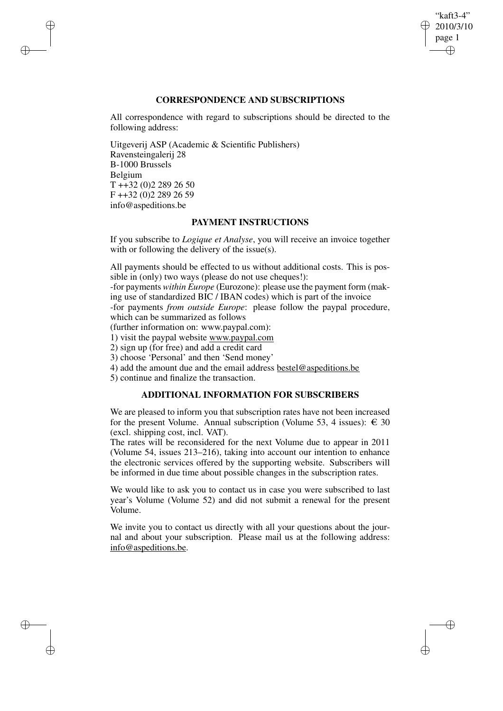# "kaft3-4" 2010/3/10 page 1 ✐ ✐

✐

✐

# **CORRESPONDENCE AND SUBSCRIPTIONS**

All correspondence with regard to subscriptions should be directed to the following address:

Uitgeverij ASP (Academic & Scientific Publishers) Ravensteingalerij 28 B-1000 Brussels Belgium T ++32 (0)2 289 26 50 F ++32 (0)2 289 26 59 info@aspeditions.be

✐

✐

✐

✐

# **PAYMENT INSTRUCTIONS**

If you subscribe to *Logique et Analyse*, you will receive an invoice together with or following the delivery of the issue(s).

All payments should be effected to us without additional costs. This is possible in (only) two ways (please do not use cheques!):

-for payments *within Europe* (Eurozone): please use the payment form (making use of standardized BIC / IBAN codes) which is part of the invoice

-for payments *from outside Europe*: please follow the paypal procedure, which can be summarized as follows

(further information on: www.paypal.com):

1) visit the paypal website www.paypal.com

2) sign up (for free) and add a credit card

3) choose 'Personal' and then 'Send money'

4) add the amount due and the email address bestel@aspeditions.be

5) continue and finalize the transaction.

# **ADDITIONAL INFORMATION FOR SUBSCRIBERS**

We are pleased to inform you that subscription rates have not been increased for the present Volume. Annual subscription (Volume 53, 4 issues):  $\in$  30 (excl. shipping cost, incl. VAT).

The rates will be reconsidered for the next Volume due to appear in 2011 (Volume 54, issues 213–216), taking into account our intention to enhance the electronic services offered by the supporting website. Subscribers will be informed in due time about possible changes in the subscription rates.

We would like to ask you to contact us in case you were subscribed to last year's Volume (Volume 52) and did not submit a renewal for the present Volume.

We invite you to contact us directly with all your questions about the journal and about your subscription. Please mail us at the following address: info@aspeditions.be.